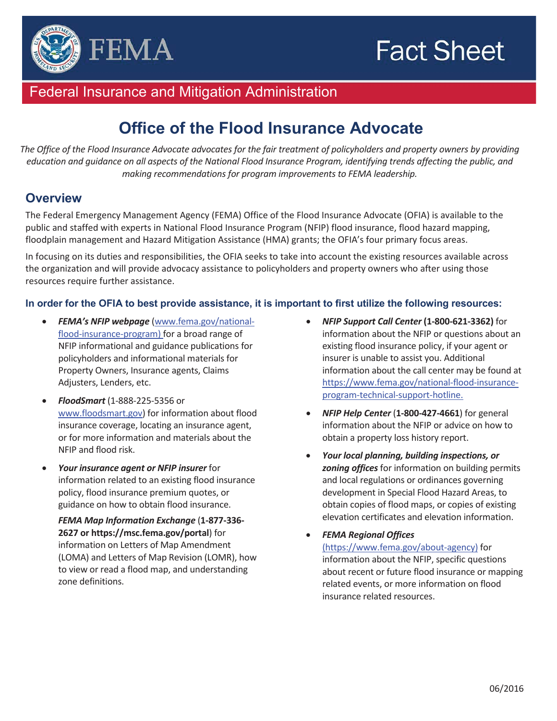



## Federal Insurance and Mitigation Administration

# **Office of the Flood Insurance Advocate**

*The Office of the Flood Insurance Advocate advocates for the fair treatment of policyholders and property owners by providing education and guidance on all aspects of the National Flood Insurance Program, identifying trends affecting the public, and making recommendations for program improvements to FEMA leadership.*

### **Overview**

The Federal Emergency Management Agency (FEMA) Office of the Flood Insurance Advocate (OFIA) is available to the public and staffed with experts in National Flood Insurance Program (NFIP) flood insurance, flood hazard mapping, floodplain management and Hazard Mitigation Assistance (HMA) grants; the OFIA's four primary focus areas.

In focusing on its duties and responsibilities, the OFIA seeks to take into account the existing resources available across the organization and will provide advocacy assistance to policyholders and property owners who after using those resources require further assistance.

#### **In order for the OFIA to best provide assistance, it is important to first utilize the following resources:**

- x *FEMA's NFIP webpage* (www.fema.gov/nationalflood-insurance-program) for a broad range of NFIP informational and guidance publications for policyholders and informational materials for Property Owners, Insurance agents, Claims Adjusters, Lenders, etc.
- x *FloodSmart* (1-888-225-5356 or www.floodsmart.gov) for information about flood insurance coverage, locating an insurance agent, or for more information and materials about the NFIP and flood risk.
- x *Your insurance agent or NFIP insurer* for information related to an existing flood insurance policy, flood insurance premium quotes, or guidance on how to obtain flood insurance.

*FEMA Map Information Exchange* (**1-877-336- 2627 or https://msc.fema.gov/portal**) for information on Letters of Map Amendment (LOMA) and Letters of Map Revision (LOMR), how to view or read a flood map, and understanding zone definitions.

- x *NFIP Support Call Center* **(1-800-621-3362)** for information about the NFIP or questions about an existing flood insurance policy, if your agent or insurer is unable to assist you. Additional information about the call center may be found at https://www.fema.gov/national-flood-insuranceprogram-technical-support-hotline.
- x *NFIP Help Center* (**1-800-427-4661**) for general information about the NFIP or advice on how to obtain a property loss history report.
- x *Your local planning, building inspections, or zoning offices* for information on building permits and local regulations or ordinances governing development in Special Flood Hazard Areas, to obtain copies of flood maps, or copies of existing elevation certificates and elevation information.
- x *FEMA Regional Offices*  (https://www.fema.gov/about-agency) for information about the NFIP, specific questions about recent or future flood insurance or mapping related events, or more information on flood insurance related resources.